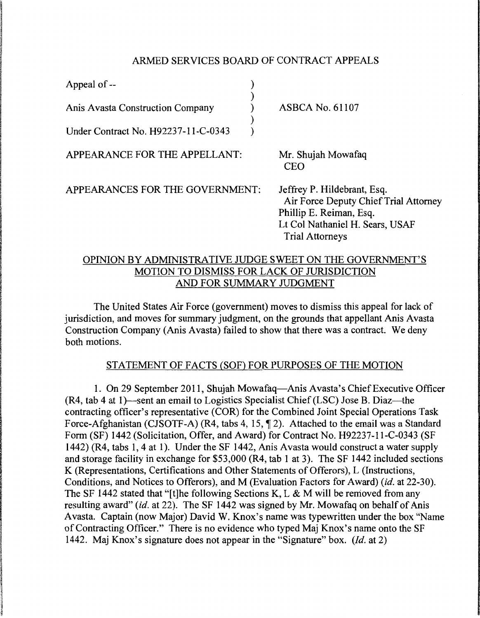## ARMED SERVICES BOARD OF CONTRACT APPEALS

| Appeal of --                        |                                                                                                                                                              |
|-------------------------------------|--------------------------------------------------------------------------------------------------------------------------------------------------------------|
| Anis Avasta Construction Company    | <b>ASBCA No. 61107</b>                                                                                                                                       |
| Under Contract No. H92237-11-C-0343 |                                                                                                                                                              |
| APPEARANCE FOR THE APPELLANT:       | Mr. Shujah Mowafaq<br><b>CEO</b>                                                                                                                             |
| APPEARANCES FOR THE GOVERNMENT:     | Jeffrey P. Hildebrant, Esq.<br>Air Force Deputy Chief Trial Attorney<br>Phillip E. Reiman, Esq.<br>Lt Col Nathaniel H. Sears, USAF<br><b>Trial Attorneys</b> |
|                                     | ODINION DV. A DMINICTD A TIVE II IDGE SWEET ON THE GOVEDNMENT'S                                                                                              |

# OPINION BY ADMINISTRATIVE JUDGE SWEET ON THE GOVERNMENT'S MOTION TO DISMISS FOR LACK OF JURISDICTION AND FOR SUMMARY JUDGMENT

The United States Air Force (government) moves to dismiss this appeal for lack of jurisdiction, and moves for summary judgment, on the grounds that appellant Anis Avasta Construction Company (Anis Avasta) failed to show that there was a contract. We deny both motions.

# STATEMENT OF FACTS (SOF) FOR PURPOSES OF THE MOTION

1. On 29 September 2011, Shujah Mowafaq-Anis Avasta's Chief Executive Officer  $(R4, tab 4 at 1)$ —sent an email to Logistics Specialist Chief (LSC) Jose B. Diaz—the contracting officer's representative (COR) for the Combined Joint Special Operations Task Force-Afghanistan (CJSOTF-A) (R4, tabs 4, 15,  $\P$  2). Attached to the email was a Standard Form (SF) 1442 (Solicitation, Offer, and Award) for Contract No. H92237-l 1-C-0343 (SF 1442) (R4, tabs 1, 4 at 1). Under the SF 1442, Anis Avasta would construct a water supply and storage facility in exchange for \$53,000 (R4, tab 1 at 3). The SF 1442 included sections K (Representations, Certifications and Other Statements of Offerors), L (Instructions, Conditions, and Notices to Offerors), and M (Evaluation Factors for Award) *(id.* at 22-30). The SF 1442 stated that "[t]he following Sections K, L & M will be removed from any resulting award" *(id.* at 22). The SF 1442 was signed by Mr. Mowafaq on behalf of Anis Avasta. Captain (now Major) David W. Knox's name was typewritten under the box "Name of Contracting Officer." There is no evidence who typed Maj Knox's name onto the SF 1442. Maj Knox's signature does not appear in the "Signature" box. *(Id.* at 2)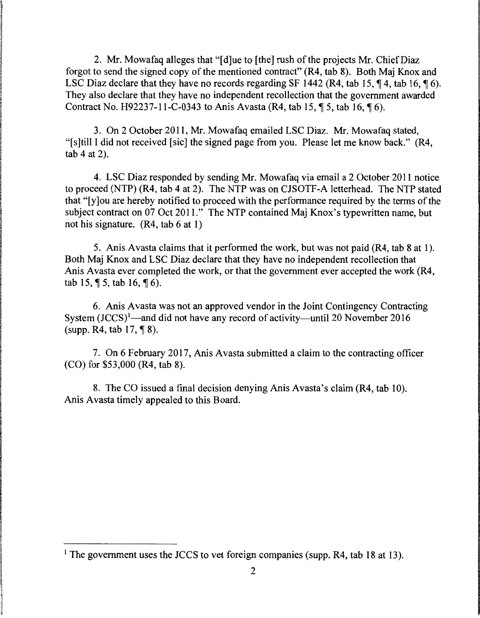2. Mr. Mowafaq alleges that "[d]ue to [the] rush of the projects Mr. Chief Diaz forgot to send the signed copy of the mentioned contract" (R4, tab 8). Both Maj Knox and LSC Diaz declare that they have no records regarding SF 1442 (R4, tab 15,  $\P$ 4, tab 16,  $\P$ 6). They also declare that they have no independent recollection that the government awarded Contract No. H92237-11-C-0343 to Anis Avasta (R4, tab 15,  $\P$  5, tab 16,  $\P$  6).

3. On 2 October 2011, Mr. Mowafaq emailed LSC Diaz. Mr. Mowafaq stated, "[s]till I did not received [sic] the signed page from you. Please let me know back." (R4, tab 4 at 2).

4. LSC Diaz responded by sending Mr. Mowafaq via email a 2 October 2011 notice to proceed (NTP) (R4, tab 4 at 2). The NTP was on CJSOTF-A letterhead. The NTP stated that "[y]ou are hereby notified to proceed with the performance required by the terms of the subject contract on 07 Oct 2011." The NTP contained Maj Knox's typewritten name, but not his signature. (R4, tab 6 at 1)

5. Anis Avasta claims that it performed the work, but was not paid (R4, tab 8 at 1). Both Maj Knox and LSC Diaz declare that they have no independent recollection that Anis Avasta ever completed the work, or that the government ever accepted the work (R4, tab 15,  $\P$  5, tab 16,  $\P$  6).

6. Anis Avasta was not an approved vendor in the Joint Contingency Contracting System (JCCS)<sup>1</sup>—and did not have any record of activity—until 20 November 2016  $(supp. R4, tab 17, \P 8).$ 

7. On 6 February 2017, Anis A vasta submitted a claim to the contracting officer (CO) for \$53,000 (R4, tab 8).

8. The CO issued a final decision denying Anis Avasta's claim (R4, tab 10). Anis Avasta timely appealed to this Board.

<sup>&</sup>lt;sup>1</sup> The government uses the JCCS to vet foreign companies (supp. R4, tab 18 at 13).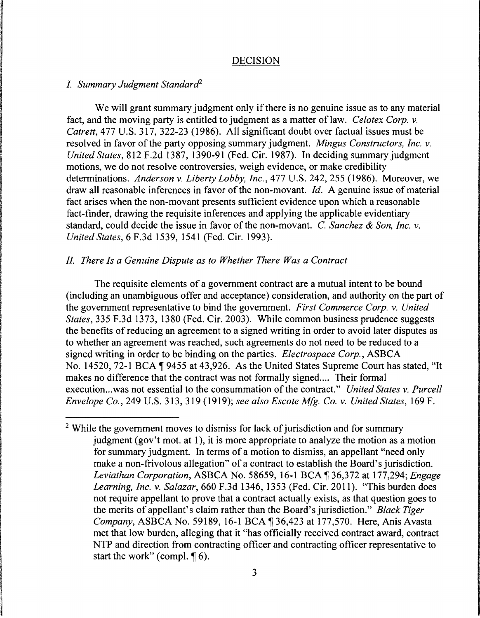### DECISION

#### *I. Summary Judgment Standard2*

We will grant summary judgment only if there is no genuine issue as to any material fact, and the moving party is entitled to judgment as a matter of law. *Celotex Corp.* v. *Catrett,* 477 U.S. 317, 322-23 (1986). All significant doubt over factual issues must be resolved in favor of the party opposing summary judgment. *Mingus Constructors, Inc.* v. *United States,* 812 F.2d 1387, 1390-91 (Fed. Cir. 1987). In deciding summary judgment motions, we do not resolve controversies, weigh evidence, or make credibility determinations. *Anderson* v. *Liberty Lobby, Inc.,* 477 U.S. 242, 255 (1986). Moreover, we draw all reasonable inferences in favor of the non-movant. *Id.* A genuine issue of material fact arises when the non-movant presents sufficient evidence upon which a reasonable fact-finder, drawing the requisite inferences and applying the applicable evidentiary standard, could decide the issue in favor of the non-movant. C. *Sanchez* & *Son, Inc.* v. *United States,* 6 F.3d 1539, 1541 (Fed. Cir. 1993).

### *II. There Is a Genuine Dispute as to Whether There Was a Contract*

The requisite elements of a government contract are a mutual intent to be bound (including an unambiguous offer and acceptance) consideration, and authority on the part of the government representative to bind the government. *First Commerce Corp.* v. *United States,* 335 F.3d 1373, 1380 (Fed. Cir. 2003). While common business prudence suggests the benefits of reducing an agreement to a signed writing in order to avoid later disputes as to whether an agreement was reached, such agreements do not need to be reduced to a signed writing in order to be binding on the parties. *Electrospace Corp.,* ASBCA No. 14520, 72-1 BCA 19455 at 43,926. As the United States Supreme Court has stated, "It makes no difference that the contract was not formally signed.... Their formal execution...was not essential to the consummation of the contract." *United States v. Purcell Envelope Co.,* 249 U.S. 313, 319 (1919); *see also Escote Mfg. Co.* v. *United States,* 169 F.

<sup>&</sup>lt;sup>2</sup> While the government moves to dismiss for lack of jurisdiction and for summary judgment (gov't mot. at 1), it is more appropriate to analyze the motion as a motion for summary judgment. In terms of a motion to dismiss, an appellant "need only make a non-frivolous allegation" of a contract to establish the Board's jurisdiction. *Leviathan Corporation,* ASBCA No. 58659, 16-1BCAif36,372 at 177,294; *Engage Learning, Inc.* v. *Salazar,* 660 F.3d 1346, 1353 (Fed. Cir. 2011). "This burden does not require appellant to prove that a contract actually exists, as that question goes to the merits of appellant's claim rather than the Board's jurisdiction." *Black Tiger Company*, ASBCA No. 59189, 16-1 BCA 136,423 at 177,570. Here, Anis Avasta met that low burden, alleging that it "has officially received contract award, contract NTP and direction from contracting officer and contracting officer representative to start the work" (compl.  $\P$  6).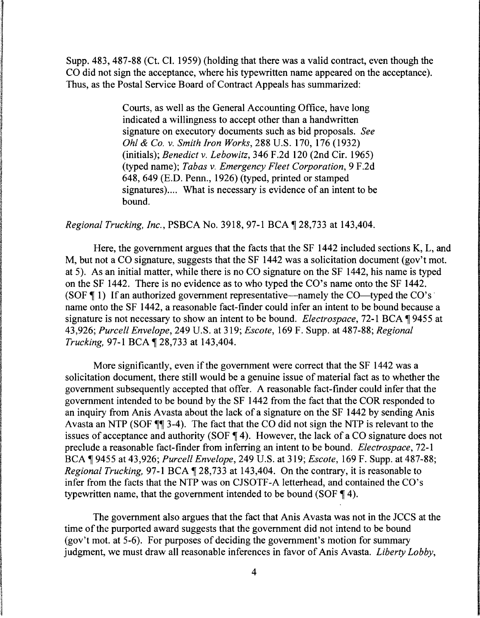Supp. 483, 487-88 (Ct. Cl. 1959) (holding that there was a valid contract, even though the CO did not sign the acceptance, where his typewritten name appeared on the acceptance). Thus, as the Postal Service Board of Contract Appeals has summarized:

> Courts, as well as the General Accounting Office, have long indicated a willingness to accept other than a handwritten signature on executory documents such as bid proposals. *See Ohl* & *Co. v. Smith Iron Works,* 288 U.S. 170, 176 (1932) (initials); *Benedict v. Lebowitz,* 346 F.2d 120 (2nd Cir. 1965) (typed name); *Tabas v. Emergency Fleet Corporation,* 9 F.2d 648, 649 (E.D. Penn., 1926) (typed, printed or stamped signatures).... What is necessary is evidence of an intent to be bound.

*Regional Trucking, Inc., PSBCA No.* 3918, 97-1 BCA  $\P$  28,733 at 143,404.

Here, the government argues that the facts that the SF 1442 included sections K, L, and M, but not a CO signature, suggests that the SF 1442 was a solicitation document (gov't mot. at 5). As an initial matter, while there is no CO signature on the SF 1442, his name is typed on the SF 1442. There is no evidence as to who typed the CO's name onto the SF 1442. (SOF  $\P$  1) If an authorized government representative—namely the CO—typed the CO's  $\overline{ }$ name onto the SF 1442, a reasonable fact-finder could infer an intent to be bound because a signature is not necessary to show an intent to be bound. *Electrospace*, 72-1 BCA ¶ 9455 at 43,926; *Purcell Envelope,* 249 U.S. at 319; *Escote,* 169 F. Supp. at 487-88; *Regional Trucking, 97-1 BCA* 128,733 at 143,404.

More significantly, even if the government were correct that the SF 1442 was a solicitation document, there still would be a genuine issue of material fact as to whether the government subsequently accepted that offer. A reasonable fact-finder could infer that the government intended to be bound by the SF 1442 from the fact that the COR responded to an inquiry from Anis Avasta about the lack of a signature on the SF 1442 by sending Anis Avasta an NTP (SOF  $\P$ ] 3-4). The fact that the CO did not sign the NTP is relevant to the issues of acceptance and authority (SOF  $\P$  4). However, the lack of a CO signature does not preclude a reasonable fact-finder from inferring an intent to be bound. *Electrospace,* 72-1 BCA if 9455 at 43,926; *Purcell Envelope,* 249 U.S. at 319; *Escote,* 169 F. Supp. at 487-88; *Regional Trucking, 97-1 BCA*  $\sqrt{28,733}$  at 143,404. On the contrary, it is reasonable to infer from the facts that the NTP was on CJSOTF-A letterhead, and contained the CO's typewritten name, that the government intended to be bound (SOF  $\P$  4).

The government also argues that the fact that Anis Avasta was not in the JCCS at the time of the purported award suggests that the government did not intend to be bound (gov't mot. at 5-6). For purposes of deciding the government's motion for summary judgment, we must draw all reasonable inferences in favor of Anis Avasta. *Liberty Lobby,*